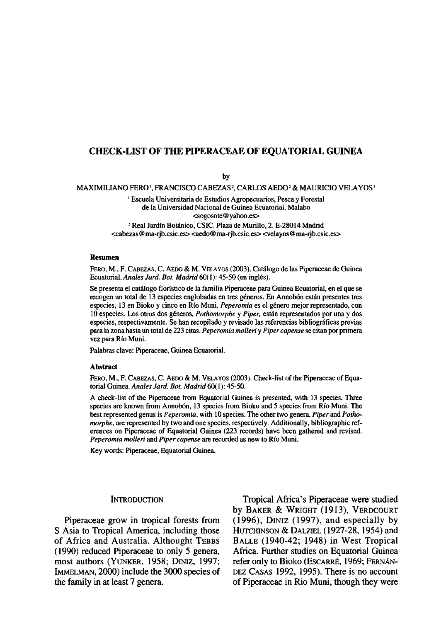## **CHECK-LIST OF THE PIPERACEAE OF EQUATORIAL GUINEA**

by

MAXIMILIANO FERO', FRANCISCO CABEZAS', CARLOS AEDO<sup>2</sup> & MAURICIO VELAYOS<sup>2</sup>

1 Escuela Universitaria de Estudios Agropecuarios, Pesca y Forestal de la Universidad Nacional de Guinea Ecuatorial. Malabo <sogosote@yahoo.es>

<sup>2</sup> Real Jardín Botánico, CSIC. Plaza de Murillo, 2. E-28014 Madrid <cabezas@ma-rjb.csic.es><aedo@ma-rjb.csic.es><velayos@ma-rjb.csic.es>

#### **Resumen**

FERO, M., F. CABEZAS, C. AEDO & M. VELAYOS (2003). Catálogo de las Piperaceae de Guinea Ecuatorial. *Anales Jard. Bot. Madrid* 60( 1): 45-50 (en inglés).

Se presenta el catálogo florístico de la familia Piperaceae para Guinea Ecuatorial, en el que se recogen un total de 13 especies englobadas en tres géneros. En Annobón están presentes tres especies, 13 en Bioko y cinco en Río Muni. *Peperomia* es el género mejor representado, con 10 especies. Los otros dos géneros, *Pothomorphe* y *Piper,* están representados por una y dos especies, respectivamente. Se han recopilado y revisado las referencias bibliográficas previas para la zona hasta un total de 223 citas. *Peperomia molleri y Piper capense* se citan por primera vez para Río Muni.

Palabras clave: Piperaceae, Guinea Ecuatorial.

#### **Abstract**

FERO, M., F. CABEZAS, C. AEDO & M. VELAYOS (2003). Check-list of the Piperaceae of Equatorial Guinea. *Anales Jard. Bot. Madrid* 60(1): 45-50.

A check-list of the Piperaceae from Equatorial Guinea is presented, with 13 species. Three species are known from Annobón, 13 species from Bioko and 5 species from Río Muni. The best represented genus is *Peperomia,* with 10 species. The other two genera. *Piper* and *Pothomorphe,* are represented by two and one species, respectively. Additionally, bibliographic references on Piperaceae of Equatorial Guinea (223 records) have been gathered and revised. *Peperomia molleri* and *Piper capense* are recorded as new to Río Muni.

Key words: Piperaceae, Equatorial Guinea.

#### **INTRODUCTION**

Piperaceae grow in tropical forests from S Asia to Tropical America, including those of África and Australia. Althought TEBBS (1990) reduced Piperaceae to only 5 genera, most authors (YUNKER, 1958; DINIZ, 1997; IMMELMAN, 2000) include the 3000 species of the family in at least 7 genera.

Tropical África's Piperaceae were studied by BAKER & WRIGHT (1913), VERDCOURT (1996), DINIZ (1997), and especially by HUTCHINSON & DALZIEL (1927-28,1954) and BALLE (1940-42; 1948) in West Tropical África. Further studies on Equatorial Guinea refer only to Bioko (ESCARRÉ, 1969; FERNÁN-DEZ CASAS 1992, 1995). There is no account of Piperaceae in Rio Muni, though they were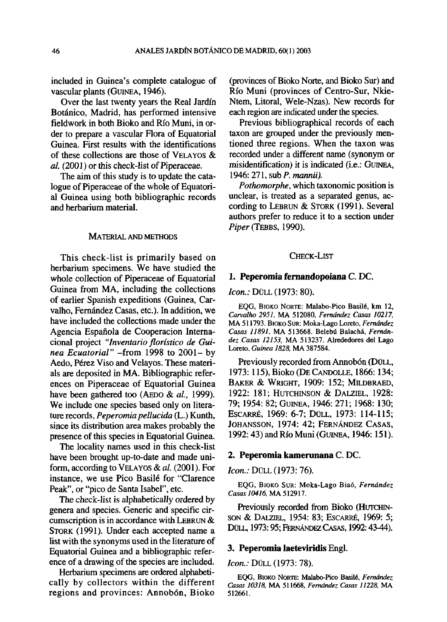included in Guinea's complete catalogue of vascular plants (GUINEA, 1946).

Over the last twenty years the Real Jardín Botánico, Madrid, has performed intensive fieldwork in both Bioko and Río Muni, in order to prepare a vascular Flora of Equatorial Guinea. First results with the identifications of these collections are those of VELAYOS & *al.* (2001) or this check-list of Piperaceae.

The aim of this study is to update the catalogue of Piperaceae of the whole of Equatorial Guinea using both bibliographic records and herbarium material.

### MATERIAL AND METHODS

This check-list is primarily based on herbarium specimens. We have studied the whole collection of Piperaceae of Equatorial Guinea from MA, including the collections of earlier Spanish expeditions (Guinea, Carvalho, Fernández Casas, etc.). In addition, we have included the collections made under the Agencia Española de Cooperación Internacional project *"Inventario florístico de Guinea Ecuatorial"* -from 1998 to 2001- by Aedo, Pérez Viso and Velayos. These materials are deposited in MA. Bibliographic references on Piperaceae of Equatorial Guinea have been gathered too (AEDO & *al.,* 1999). We include one species based only on literature records, *Peperomia pellucida* (L.) Kunth, since its distribution area makes probably the presence of this species in Equatorial Guinea.

The locality names used in this check-list have been brought up-to-date and made uniform, according to VELAYOS & *al.* (2001). For instance, we use Pico Basilé for "Clarence Peak", or "pico de Santa Isabel", etc.

The check-list is alphabetically ordered by genera and species. Generic and specific circumscription is in accordance with LEBRUN & STORK (1991). Under each accepted name a list with the synonyms used in the literature of Equatorial Guinea and a bibliographic reference of a drawing of the species are included.

Herbarium specimens are ordered alphabetically by collectors within the different regions and provinces: Annobón, Bioko

(provinces of Bioko Norte, and Bioko Sur) and Río Muni (provinces of Centro-Sur, Nkie-Ntem, Litoral, Wele-Nzas). New records for each región are indicated under the species.

Previous bibliographical records of each taxon are grouped under the previously mentioned three regions. When the taxon was recorded under a different ñame (synonym or misidenüfication) it is indicated (i.e.: GUINEA, 1946: 271, sub *P. mannii)*.

*Pothomorphe,* which taxonomic position is unclear, is treated as a separated genus, according to LEBRUN & STORK (1991). Several authors prefer to reduce it to a section under *Piper* (TEBBS, 1990).

# CHECK-LIST

#### **1. Peperomia fernandopoiana** C. DC

### *Icon.:* DÜLL (1973: 80).

EQG, BIOKO NORTE: Malabo-Pico Basilé, km 12, *Carvalho 2951,* MA 512080, *Fernández Casas 10217,*  MA 511793. BIOKO SUR: Moka-Lago Loreto, *Fernández Casas 11891.* MA 513668. Belebú Balachá, *Fernández Casas 12153,* MA 513237. Alrededores del Lago Loreto. *Guinea 1828,* MA 387584.

Previously recorded from Annobón (DÜLL, 1973:115), Bioko (DE CANDOLLE, 1866:134; BAKER & WRIGHT, 1909: 152; MILDBRAED, 1922: 181; HUTCHINSON & DALZIEL, 1928: 79; 1954: 82; GUINEA, 1946: 271; 1968: 130; ESCARRÉ, 1969: 6-7; DÜLL, 1973: 114-115; JOHANSSON, 1974: 42; FERNÁNDEZ CASAS, 1992:43) and Río Muni (GUINEA, 1946:151).

### **2. Peperomia kamerunana** C. DC.

### *Icon.:* DÜLL (1973: 76).

EQG, BIOKO SUR: Moka-Lago Biaó, *Fernández Casas 10416,MA* 512917.

Previously recorded from Bioko (HUTCHIN-SON & DALZIEL, 1954: 83; ESCARRÉ, 1969: 5; DÜLL, 1973:95; FERNÁNDEZ CASAS, 1992:43-44).

### **3. Peperomia Jaeteviridis** Engl.

*Icon.:* DÜLL (1973: 78).

EQG, BIOKO NORTE: Malabo-Pico Basilé, *Fernández Casas 10318,* MA 511668, *Fernández Casas 11228,* MA 512661.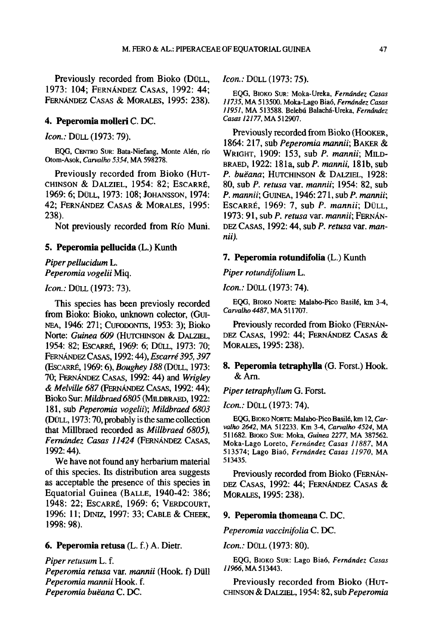Previously recorded from Bioko (DÜLL, 1973: 104; FERNÁNDEZ CASAS, 1992: 44; FERNÁNDEZ CASAS & MORALES, 1995: 238).

### **4. Peperomia molleri** C. DC.

*Icon.:* DÜLL (1973:79).

EQG, CENTRO SUR: Bata-Niefang, Monte Alen, río Otom-Asok, *Carvalho 5354,* MA 598278.

Previously recorded from Bioko (HUT-CHINSON & DALZIEL, 1954: 82; ESCARRÉ, 1969: 6; DÜLL, 1973: 108; JOHANSSON, 1974: 42; FERNÁNDEZ CASAS & MORALES, 1995: 238).

Not previously recorded from Río Muni.

### **5. Peperomia pellucida** (L.) Kunth

# *Piper pellucidum* L. *Peperomia vogelii* Miq.

### *Icon.:* DÜLL (1973: 73).

This species has been previosly recorded from Bioko: Bioko, unknown colector, (GUI-NEA, 1946: 271; CUFODONTIS, 1953: 3); Bioko Norte: *Guinea 609* (HUTCHINSON & DALZIEL, 1954: 82; ESCARRÉ, 1969: 6; DÜLL, 1973: 70; FERNÁNDEZ CASAS, 1992:44), *Escarré 395,397*  (ESCARRÉ, 1969:6), *Boughey 188* (DÜLL, 1973: 70; FERNÁNDEZ CASAS, 1992: 44) and *Wrigley & Melville 687* (FERNÁNDEZ CASAS, 1992:44); Bioko Sur: *Mildbraed6805* (MILDBRAED, 1922: 181, sub *Peperomia vogelii); Mildbraed 6803*  (DÜLL, 1973:70, probably is the same collection that Millbraed recorded as *Millbraed 6805), Fernández Casas 11424* (FERNÁNDEZ CASAS, 1992:44).

We have not found any herbarium material of this species. Its distribution área suggests as acceptable the presence of this species in Equatorial Guinea (BALLE, 1940-42: 386; 1948: 22; ESCARRÉ, 1969: 6; VERDCOURT, 1996: 11; DINIZ, 1997: 33; CABLE & CHEEK, 1998: 98).

## **6. Peperomia retusa** (L. f.) A. Dietr.

*Piper retusum* L. f. *Peperomia retusa* var. *mannii* (Hook, f) Düll *Peperomia mannii* Hook. f. *Peperomia buéana* C. DC.

*Icon.:* DÜLL (1973:75).

EQG, BIOKO SUR: Moka-Ureka, *Fernández Casas 11735,* MA 513500. Moka-Lago Biaó, *Fernández Casas 11951,* MA 513588. Belebú Balachá-Ureka, *Fernández Casas 12177,* MA 512907.

Previously recorded from Bioko (HOOKER, 1864: 217, sub *Peperomia mannii;* BAKER & WRIGHT, 1909: 153, sub *P. mannii;* MILD-BRAED, 1922: 181a, subP. *mannii,* 181b, sub *P. buéana;* HUTCHINSON & DALZIEL, 1928: 80, sub *P. retusa* var. *mannii;* 1954: 82, sub *P. mannii;* GUINEA, 1946:271, sub *P. mannii;*  ESCARRÉ, 1969: 7, sub *P. mannii;* DÜLL, 1973: 91, sub *P. retusa* var. *mannii;* FERNÁN-DEZ CASAS, 1992:44, sub *P. retusa* var. *mannii).* 

#### **7. Peperomia rotundifolia** (L.) Kunth

*Piper rotundifolium* L.

*Icon.:* DÜLL (1973: 74).

EQG, BIOKO NORTE: Malabo-Pico Basilé, km 3-4, *Carvalho 4487,* MA 511707.

Previously recorded from Bioko (FERNÁN-DEZ CASAS, 1992: 44; FERNÁNDEZ CASAS & MORALES, 1995:238).

## **8. Peperomia tetraphylla** (G. Forst.) Hook. &Arn.

### *Piper tetraphyllum* G. Forst.

*Icon.:* DÜLL (1973: 74).

EQG, BIOKO NORTE: Malabo-Pico Basilé, km 12, *Carvalho 2642,* MA 512233. Km 3-4, *Carvalho 4524,* MA 511682. BIOKO SUR: Moka, *Guinea 2277,* MA 387562. Moka-Lago Loreto, *Fernández Casas 11887,* MA 513574; Lago Biaó, *Fernández Casas 11970,* MA 513435.

Previously recorded from Bioko (FERNÁN-DEZ CASAS, 1992: 44; FERNÁNDEZ CASAS & MORALES, 1995:238).

### **9. Peperomia thomeana** C. DC.

*Peperomia vaccinifolia* C. DC.

*Icon.:* DÜLL (1973: 80).

EQG, BIOKO SUR: Lago Biaó, *Fernández Casas 11966,* MA 513443.

Previously recorded from Bioko (HUT-CHINSON & DALZIEL, 1954:82, sub *Peperomia*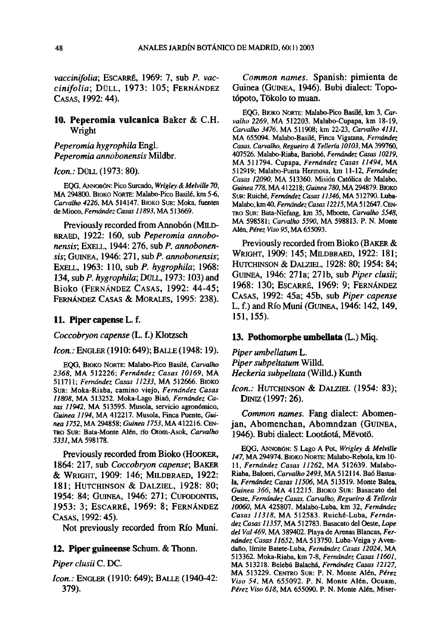*vaccinifolia;* ESCARRÉ, 1969: 7, sub *P. vaccinifolia;* DÜLL, 1973: 105; FERNÁNDEZ CASAS, 1992:44).

### **10. Peperomia vulcanica** Baker & C.H. Wright

*Peperomia hygrophila* Engl. *Peperomia annobonensis* Mildbr.

### *Icon.:* DÜLL (1973: 80).

EQG, ANNOBÓN: Pico Surcado, *Wrigley & Melville 70,*  MA 294800. BIOKO NORTE: Malabo-Pico Basilé, km 5-6, *Carvalho 4226,* MA 514147. BIOKO SUR: Moka, fuentes de Mioco, *Fernández Casas 11893,* MA 513669.

Previously recorded from Annobón (MJLD-BRAED, 1922: 160, sub *Peperomia annobonensis;* EXELL, 1944: 276, sub *P. annobonensis;* GUINEA, 1946: 271, subP. *annobonensis;*  EXELL, 1963: 110, sub *P. hygrophila;* 1968: 134, sub *P. hygrophila;* DÜLL, 1973:103) and Bioko (FERNÁNDEZ CASAS, 1992: 44-45; FERNÁNDEZ CASAS & MORALES, 1995: 238).

### **11. Piper capense** L.f.

*Coccobryon capense* (L. f.) Klotzsch

### *Icon.:* ENGLER (1910: 649); BALLE (1948: 19).

EQG, BIOKO NORTE: Malabo-Pico Basilé, *Carvalho 2368,* MA 512226; *Fernández Casas 10169,* MA 511711; *Fernández Casas 11233,* MA 512666. BIOKO SUR: Moka-Riaba, camino viejo, *Fernández Casas 11808,* MA 513252. Moka-Lago Biaó, *Fernández Casas 11942,* MA 513595. Musola, servicio agronómico, *Guinea 1194,* MA 412217. Musola, Finca Puente, *Guinea 1752,* MA 294858; *Guinea 1753,* MA 412216. CEN-TRO SUR: Bata-Monte Alen, río Otom-Asok, *Carvalho S331.MA* 598178.

Previously recorded from Bioko (HOOKER, 1864: 217, sub *Coccobryon capense;* BAKER & WRIGHT, 1909: 146; MILDBRAED, 1922: 181; HUTCHINSON & DALZIEL, 1928: 80; 1954: 84; GUINEA, 1946: 271; CUFODONTIS, 1953: 3; ESCARRÉ, 1969: 8; FERNÁNDEZ CASAS, 1992:45).

Not previously recorded from Río Muni.

### **12. Piper guineense** Schum. & Thonn.

#### *Piper clusii* C. DC.

*Icon.:* ENGLER (1910: 649); BALLE (1940-42: 379).

*Common ñames.* Spanish: pimienta de Guinea (GUINEA, 1946). Bubi dialect: Topotópoto, Tókolo to muan.

EQG, BIOKO NORTE: Malabo-Pico Basilé, km 3, *Carvalho 2269,* MA 512203. Malabo-Cupapa, km 18-19, *Carvalho 3476.* MA 511908; km 22-23, *Carvalho 4131.*  MA 655094. Malabo-Basilé, Finca Vigatana, *Fernández Casas, Carvalho, Regueiro & Tellería 10103,* MA 399760, 407526. Malabo-Riaba, Bariobé, *Fernández Casas 10219,*  MA 511794. Cupapa, *Fernández Casas 11494,* MA 512919; Malabo-Punta Hermosa, km 11-12, *Fernández Casas 12090,* MA 513360. Misión Católica de Malabo, *Guinea 778,* MA 412218; *Guinea 780,* MA 294879. BIOKO SUR: Ruiché, *Fernández Casas 11346,* MA 512790. Luba-Malabo, km 40, *Fernández Casas 12215,* MA 512647. CEN-TRO SUR: Bata-Niefang, km 35, Mboete, *Carvalho 5548,*  MA 598581; *Carvalho 5590,* MA 598813. P. N. Monte Alen, *Pérez Viso 95,* MA 655093.

Previously recorded from Bioko (BAKER & WRIGHT, 1909: 145; MILDBRAED, 1922: 181; HUTCHINSON & DALZIEL, 1928: 80; 1954: 84; GUINEA, 1946: 271a; 271b, sub *Piper clusii;*  1968: 130; ESCARRÉ, 1969: 9; FERNÁNDEZ CASAS, 1992: 45a; 45b, sub *Piper capense*  L. f.) and Río Muni (GUINEA, 1946:142,149, 151,155).

### **13. Pothomorphe umbellata** (L.) Miq.

*Piper umbellatum L. Piper subpeltatum* Willd. *neckeria subpeltata* (Willd.) Kunth

*Icon.:* HUTCHINSON & DALZIEL (1954: 83); DINTZ(1997:26).

*Common ñames.* Fang dialect: Abomenjan, Abomenchan, Abomndzan (GUINEA, 1946). Bubi dialect: Lootáotá, Mevotó.

EQG, ANNOBÓN: S Lago A Pot, *Wrigley & Melville 147,* MA 294974. BIOKO NORTE: Malabo-Rebola, km 10- 11, *Fernández Casas 11262,* MA 512639. Malabo-Riaba, Baloeri, *Carvalho 2493,* MA 512114. Bao Basuala, *Fernández Casas 11506,* MA 513519. Monte Balea, *Guinea 366,* MA 412215. BIOKO SUR: Basacato del Oeste, *Fernández Casas, Carvalho, Regueiro & Tellería 10060,* MA 425807. Malabo-Luba, km 32, *Fernández Casas 11318,* MA 512583. Ruiché-Luba, *Fernández Casas 11357,* MA 512783. Basacato del Oeste, *Lope del Val 469,* MA 389402. Playa de Arenas Blancas, *Fernández Casas 11652,* MA 513750. Luba-Veiga y Avendaño, límite Batete-Luba, *Fernández Casas 12024,* MA 513362. Moka-Riaba, km 7-8, *Fernández Casas 11601,*  MA 513218. Belebú Balachá, *Fernández Casas 12127,*  MA 513229. CENTRO SUR: P. N. Monte Alen, *Pérez Viso 54,* MA 655092. P. N. Monte Alen, Ocuam, *Pérez Viso 618,* MA 655090. P. N. Monte Alen, Miser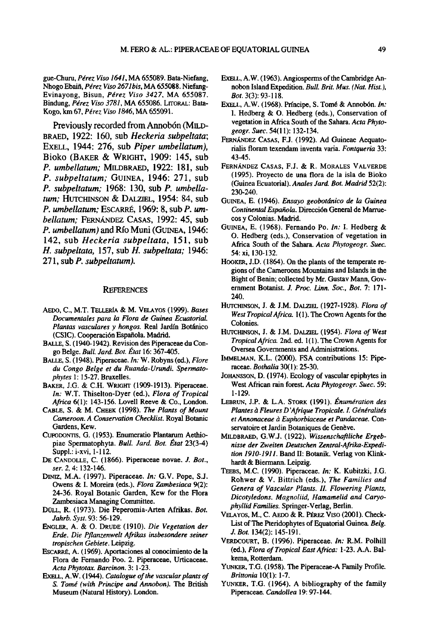gue-Churu, *Pérez Viso 1641,* MA 655089. Bata-Niefang, Nhogo Ebaiñ, *Pérez Viso 267Ibis,* MA 655088. Niefang-Evinayong, Bisun, *Pérez Viso 3427,* MA 655087. Bindung, *Pérez Viso 3781,* MA 655086. LITORAL: Bata-Kogo, km 67, *Pérez Viso 1846,* MA 655091.

Previously recorded from Annobón (MILD-BRAED, 1922: 160, sub *neckeria subpeltata;*  EXELL, 1944: 276, sub *Piper umbellatum),*  Bioko (BAKER & WRIGHT, 1909: 145, sub *P. umbellatum;* MILDBRAED, 1922: 181, sub *P. subpeltatum;* GUINEA, 1946: 271, sub *P. subpeltatum;* 1968: 130, sub *P. umbellatum;* HUTCHINSON & DALZIEL, 1954: 84, sub *P. umbellatum;* ESCARRÉ, 1969: 8, sub *P. umbellatum;* FERNÁNDEZ CASAS, 1992: 45, sub *P. umbellatum)* and Río Muni (GUINEA, 1946: 142, sub *Heckeria subpeltata,* 151, sub *H. subpeltata,* 157, sub *H. subpeltata;* 1946: 271, sub *P. subpeltatum).* 

#### **REFERENCES**

- AEDO, C, M.T. TELLERIA & M. VELAYOS (1999). *Bases Documentales para la Flora de Guinea Ecuatorial. Plantas vasculares y hongos.* **Real Jardín Botánico**  (CSIC). Cooperación Española. Madrid.
- BALLE, S. (1940-1942). Revisión des Piperaceae du Congo **Belge.** *Bull. Jard. Bot. État* **16:367-405.**
- BALLE, S. (1948). Piperaceae. *ín:* W. Robyns (ed.), *Flore du Congo Belge et du Ruanda-Urundi. Spermatophytes* 1:15-27. Bruxelles.
- BAKER, J.G. & C.H. WRIGHT (1909-1913). Piperaceae. *In:* W.T. Thiselton-Dyer (ed.), *Flora of Tropical Africa* 6(1): 143-156. Lovell Reeve & Co., London.
- CABLE, S. & M. CHEEK (1998). *The Plañís of Mount Cameroon. A Conservation Checklist.* **Royal Botante**  Gardens, Kew.
- CUFODONTIS, G. (1953). Enumeratio Plantarum Aethiopiae Spermatophyta. *Bull. Jard. Bot. État* 23(3-4) Suppl.: i-xvi, 1-112.
- DE CANDOLLE, C. (1866). Piperaceae novae. *J. Bot., ser. 2,* 4:132-146.
- DINIZ, M.A. (1997). Piperaceae. *In:* G.V. Pope, S.J. Owens & I. Moreira (eds.), *Flora Zambesiaca* 9(2): 24-36. Royal Botanic Garden, Kew for the Flora Zambesiaca Managing Committee.
- DOLL, R. (1973). Die Peperomia-Arten Afrikas. *Bot. Jahrb.Syst.* **93: 56-129.**
- ENGLER, A. & O. DRUDE (1910). *Die Vegetation der Erde. Die Pflanzenwelt Afrikas insbesondere seiner tropischen Gebiete.* **Leipzig.**
- ESCARRÉ, A. (1969). Aportaciones al conocimiento de la Flora de Fernando Poo. 2. Piperaceae, Urticaceae. *Acta Phytotax. Barcinon.* **3: 1-23.**
- **EXELL, A.W. (1944).** *Catalogue of the vascular plants of S. Tomé (with Principe and Annobón).* **The British**  Museum (Natural History). London.
- EXELL, A.W. (1963). Angiosperms of the Cambridge Annobon **Island Expedition.** *Bull. Brit. Mus. (Nat. Hist), Bot.* 3(3): 93-118.
- EXELL, A.W. (1968). Príncipe, S. Tomé & Annobón. *In:*  I. Hedberg *&* O. Hedberg (eds.), Conservation of vegetation in África South of the Sahara. *Acta Phytogeogr. Suec.* 54(11): 132-134.
- FERNÁNDEZ CASAS, F.J. (1992). Ad Guineae Aequatorialis floram texendam inventa varia. *Fontqueria* 33: 43-45.
- FERNÁNDEZ CASAS, F.J. & R. MORALES VALVERDE (1995). Proyecto de una flora de la isla de Bioko (Guinea Ecuatorial). *Anales Jard. Bot. Madrid* 52(2): 230-240.
- **GUINEA, E. (1946).** *Ensayo geobotánico de la Guinea Continental Española.* Dirección General de Marruecos y Colonias. Madrid.
- GUINEA, E. (1968). Fernando Po. *In:* I. Hedberg & O. Hedberg (eds.), Conservation of vegetation in África South of the Sahara. *Acta Phytogeogr. Suec.*  54: xi, 130-132.
- HOOKER, J.D. (1864). On the plants of the temperate regions of the Cameroons Mountains and Islands in the Bight of Benin; collected by Mr. Gustav Mann, Government **Botanist.** *J. Proc. Lirm. Soc, Bot.* **7: 171-** 240.
- HUTCHINSON, J. & J.M. DALZIEL (1927-1928). *Flora of West Tropical África.* 1(1). The Crown Agents for the Colonies.
- HUTCHINSON, J. & J.M. DALZIEL (1954). *Flora of West Tropical África.* 2nd. ed. 1(1). The Crown Agents for Oversea Governments and Administrations.
- IMMELMAN, K.L. (2000). FSA contributions 15: Piperaceae. *Bothalia* 30(1): 25-30.
- JOHANSSON, D. (1974). Ecology of vascular epiphytes in West African rain forest *Acta Phytogeogr. Suec.* 59: 1-129.
- LEBRUN, J.P. & L.A. STORK (1991). *Énumération des Plantes á Fleures D 'Afrique Tropicale. I. Généralités et Annonaceae á Euphorbiaceae et Pandaceae.* **Con**servatoire et Jardín Botaniques de Genéve.
- MILDBRAED, G.W.J. (1922). *Wissenschaftliche Ergebnisse der Zweiten Deutschen Zentral-Afrika-Expedition 1910-1911.* Band II: Botanik. Verlag von Klinkhardt & Biermann. Leipzig.
- TEEBS, M.C. (1990). Piperaceae. *In:* K. Kubitzki, J.G. Rohwer & V. Bittrich (eds.), *The Families and Genera of Vascular Plants. II. Flowering Plants, Dicotyledons. Magnoliid, Hamamelid and Caryophyllid Families.* Springer-Verlag, Berlin.
- VELAYOS, M., C. AEDO & R. PÉREZ VISO (2001). Check-Listof The Pteridophytes of Equatorial Guinea *Belg. J. Bot. 134(2):* **145-191.**
- VERDCOURT, B. (1996). Piperaceae. *In:* R.M. Polhill **(ed.),** *Flora of Tropical East África:* **1-23. A.A. Bal**kema, Rotterdam.
- YUNKER, T.G. (1958). The Piperaceae-A Family Profile. *Brittonia* 10(1): 1-7.
- YUNKER, T.G. (1964). A bibliography of the family Piperaceae. *Candollea* 19:97-144.